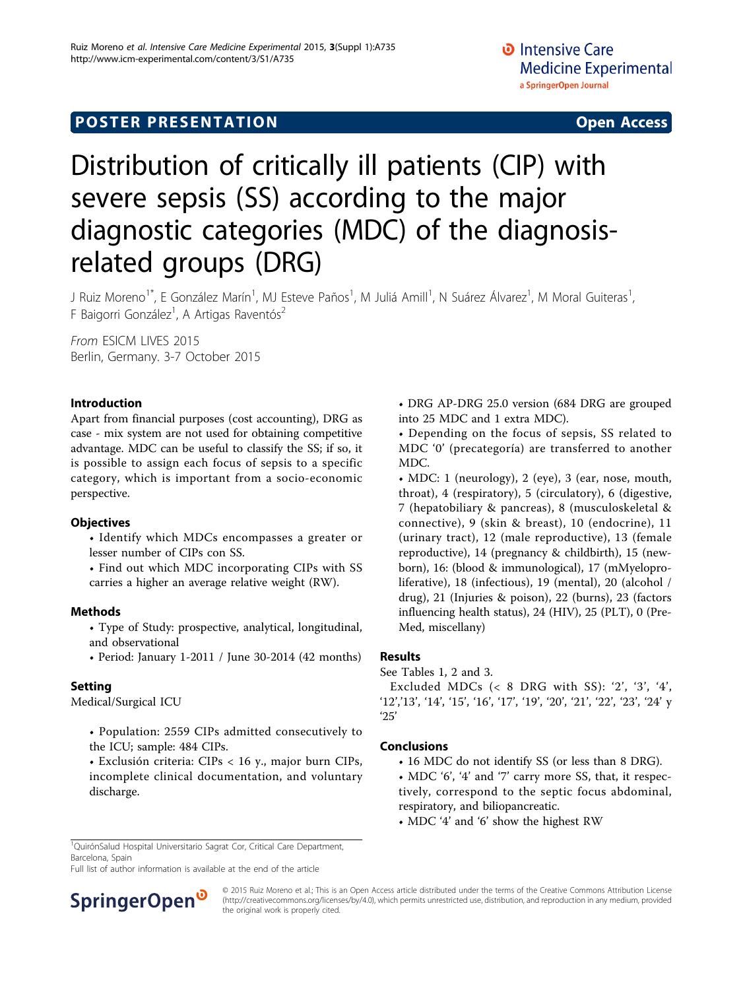# **POSTER PRESENTATION CONSUMING ACCESS**

# Distribution of critically ill patients (CIP) with severe sepsis (SS) according to the major diagnostic categories (MDC) of the diagnosisrelated groups (DRG)

J Ruiz Moreno<sup>1\*</sup>, E González Marín<sup>1</sup>, MJ Esteve Paños<sup>1</sup>, M Juliá Amill<sup>1</sup>, N Suárez Álvarez<sup>1</sup>, M Moral Guiteras<sup>1</sup> , F Baigorri González<sup>1</sup>, A Artigas Raventós<sup>2</sup>

From ESICM LIVES 2015 Berlin, Germany. 3-7 October 2015

### Introduction

Apart from financial purposes (cost accounting), DRG as case - mix system are not used for obtaining competitive advantage. MDC can be useful to classify the SS; if so, it is possible to assign each focus of sepsis to a specific category, which is important from a socio-economic perspective.

#### **Objectives**

- Identify which MDCs encompasses a greater or lesser number of CIPs con SS.
- Find out which MDC incorporating CIPs with SS carries a higher an average relative weight (RW).

#### Methods

- Type of Study: prospective, analytical, longitudinal, and observational
- Period: January 1-2011 / June 30-2014 (42 months)

# Setting

Medical/Surgical ICU

- Population: 2559 CIPs admitted consecutively to the ICU; sample: 484 CIPs.
- Exclusión criteria: CIPs < 16 y., major burn CIPs, incomplete clinical documentation, and voluntary discharge.

• DRG AP-DRG 25.0 version (684 DRG are grouped into 25 MDC and 1 extra MDC).

• Depending on the focus of sepsis, SS related to MDC '0' (precategoría) are transferred to another MDC.

• MDC: 1 (neurology), 2 (eye), 3 (ear, nose, mouth, throat), 4 (respiratory), 5 (circulatory), 6 (digestive, 7 (hepatobiliary & pancreas), 8 (musculoskeletal & connective), 9 (skin & breast), 10 (endocrine), 11 (urinary tract), 12 (male reproductive), 13 (female reproductive), 14 (pregnancy & childbirth), 15 (newborn), 16: (blood & immunological), 17 (mMyeloproliferative), 18 (infectious), 19 (mental), 20 (alcohol / drug), 21 (Injuries & poison), 22 (burns), 23 (factors influencing health status), 24 (HIV), 25 (PLT), 0 (Pre-Med, miscellany)

#### Results

See Tables [1](#page-1-0), [2](#page-1-0) and [3](#page-1-0).

Excluded MDCs (< 8 DRG with SS): '2', '3', '4', '12','13', '14', '15', '16', '17', '19', '20', '21', '22', '23', '24' y '25'

# Conclusions

- 16 MDC do not identify SS (or less than 8 DRG).
- MDC '6', '4' and '7' carry more SS, that, it respectively, correspond to the septic focus abdominal, respiratory, and biliopancreatic.
- MDC '4' and '6' show the highest RW

<sup>1</sup>QuirónSalud Hospital Universitario Sagrat Cor, Critical Care Department, Barcelona, Spain

Full list of author information is available at the end of the article



© 2015 Ruiz Moreno et al.; This is an Open Access article distributed under the terms of the Creative Commons Attribution License [\(http://creativecommons.org/licenses/by/4.0](http://creativecommons.org/licenses/by/4.0)), which permits unrestricted use, distribution, and reproduction in any medium, provided the original work is properly cited.